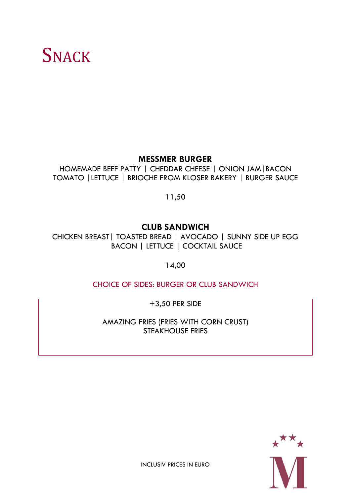# **SNACK**

#### **MESSMER BURGER**

HOMEMADE BEEF PATTY | CHEDDAR CHEESE | ONION JAM|BACON TOMATO |LETTUCE | BRIOCHE FROM KLOSER BAKERY | BURGER SAUCE

11,50

### **CLUB SANDWICH**

CHICKEN BREAST| TOASTED BREAD | AVOCADO | SUNNY SIDE UP EGG BACON | LETTUCE | COCKTAIL SAUCE

14,00

CHOICE OF SIDES: BURGER OR CLUB SANDWICH

+3,50 PER SIDE

AMAZING FRIES (FRIES WITH CORN CRUST) STEAKHOUSE FRIES

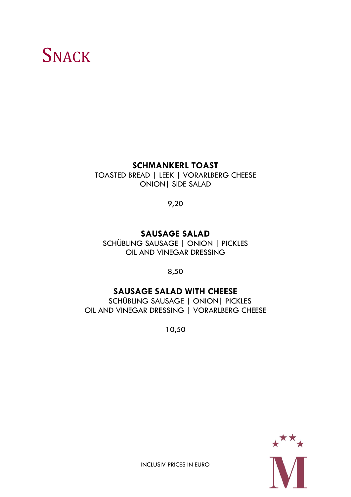# **SNACK**

#### **SCHMANKERL TOAST**

TOASTED BREAD | LEEK | VORARLBERG CHEESE ONION| SIDE SALAD

9,20

### **SAUSAGE SALAD**

SCHÜBLING SAUSAGE | ONION | PICKLES OIL AND VINEGAR DRESSING

8,50

### **SAUSAGE SALAD WITH CHEESE**

 SCHÜBLING SAUSAGE | ONION| PICKLES OIL AND VINEGAR DRESSING | VORARLBERG CHEESE

10,50

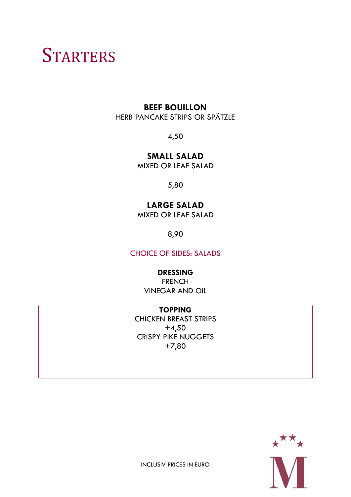### **STARTERS**

#### **BEEF BOUILLON**

HERB PANCAKE STRIPS OR SPÄTZLE

4,50

**SMALL SALAD**

MIXED OR LEAF SALAD

5,80

### **LARGE SALAD**

MIXED OR LEAF SALAD

8,90

CHOICE OF SIDES: SALADS

#### **DRESSING**

FRENCH VINEGAR AND OIL

**TOPPING** CHICKEN BREAST STRIPS  $+4,50$ CRISPY PIKE NUGGETS +7,80

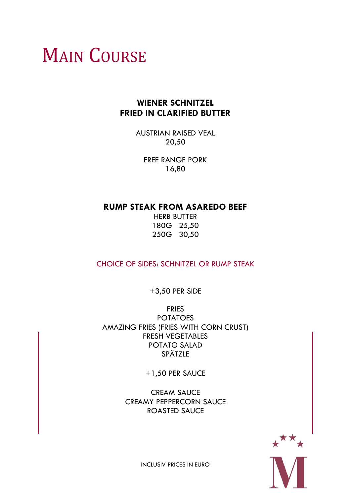# **MAIN COURSE**

### **WIENER SCHNITZEL FRIED IN CLARIFIED BUTTER**

AUSTRIAN RAISED VEAL 20,50

FREE RANGE PORK 16,80

#### **RUMP STEAK FROM ASAREDO BEEF**

HERB BUTTER 180G 25,50 250G 30,50

CHOICE OF SIDES: SCHNITZEL OR RUMP STEAK

+3,50 PER SIDE

FRIES POTATOES AMAZING FRIES (FRIES WITH CORN CRUST) FRESH VEGETABLES POTATO SALAD **SPÄTZLE** 

+1,50 PER SAUCE

CREAM SAUCE CREAMY PEPPERCORN SAUCE ROASTED SAUCE

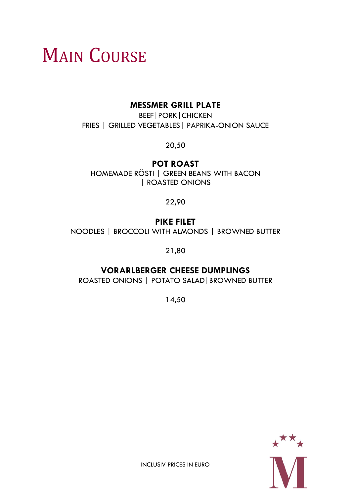# **MAIN COURSE**

#### **MESSMER GRILL PLATE**

BEEF|PORK|CHICKEN FRIES | GRILLED VEGETABLES| PAPRIKA-ONION SAUCE

20,50

### **POT ROAST**

HOMEMADE RÖSTI | GREEN BEANS WITH BACON | ROASTED ONIONS

#### 22,90

### **PIKE FILET**

NOODLES | BROCCOLI WITH ALMONDS | BROWNED BUTTER

21,80

### **VORARLBERGER CHEESE DUMPLINGS**

ROASTED ONIONS | POTATO SALAD|BROWNED BUTTER

14,50

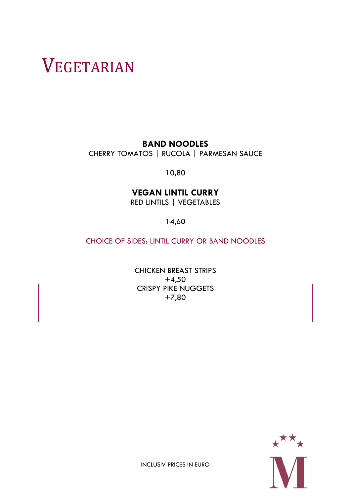# VEGETARIAN

**BAND NOODLES**

CHERRY TOMATOS | RUCOLA | PARMESAN SAUCE

10,80

### **VEGAN LINTIL CURRY**

RED LINTILS | VEGETABLES

14,60

CHOICE OF SIDES: LINTIL CURRY OR BAND NOODLES

CHICKEN BREAST STRIPS  $+4,50$ CRISPY PIKE NUGGETS +7,80